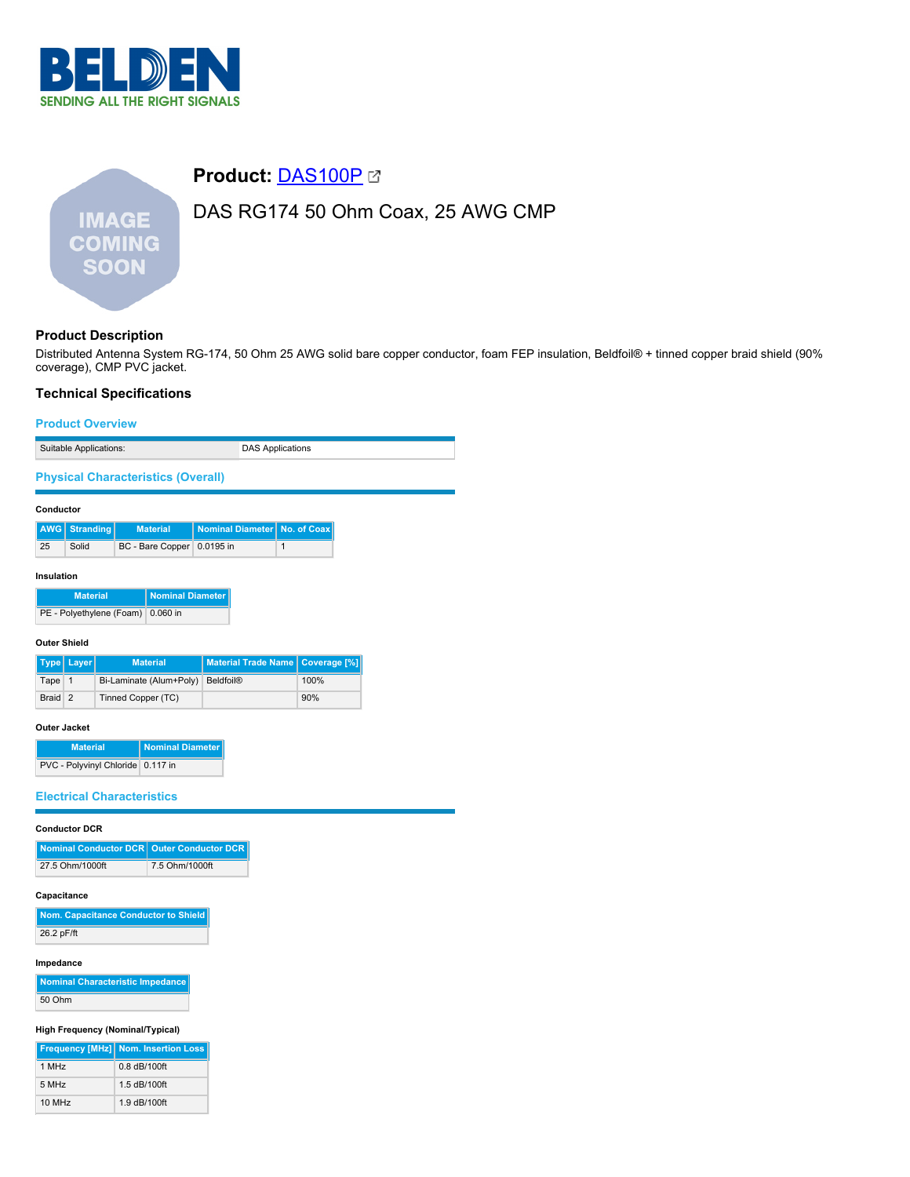

# **Product:** [DAS100P](https://catalog.belden.com/index.cfm?event=pd&p=PF_DAS100P&tab=downloads) DAS RG174 50 Ohm Coax, 25 AWG CMP **IMAGE COMING SOON**

# **Product Description**

Distributed Antenna System RG-174, 50 Ohm 25 AWG solid bare copper conductor, foam FEP insulation, Beldfoil® + tinned copper braid shield (90% coverage), CMP PVC jacket.

# **Technical Specifications**

#### **Product Overview**

| Suitable Applications: | <b>DAS Applications</b> |
|------------------------|-------------------------|

**Physical Characteristics (Overall)**

#### **Conductor**

|    | AWG Stranding | <b>Material</b>            | Nominal Diameter   No. of Coax |  |
|----|---------------|----------------------------|--------------------------------|--|
| 25 | Solid         | BC - Bare Copper 0.0195 in |                                |  |

#### **Insulation**

| <b>Material</b>                   | Nominal Diameter |
|-----------------------------------|------------------|
| PE - Polyethylene (Foam) 0.060 in |                  |

#### **Outer Shield**

|         | Type   Layer | <b>Material</b>                   | Material Trade Name   Coverage [%] |      |
|---------|--------------|-----------------------------------|------------------------------------|------|
| Tape 1  |              | Bi-Laminate (Alum+Poly) Beldfoil® |                                    | 100% |
| Braid 2 |              | Tinned Copper (TC)                |                                    | 90%  |

#### **Outer Jacket**

| <b>Material</b>                   | Nominal Diameter |
|-----------------------------------|------------------|
| PVC - Polyvinyl Chloride 0.117 in |                  |

## **Electrical Characteristics**

#### **Conductor DCR**

| Nominal Conductor DCR   Outer Conductor DCR |                |
|---------------------------------------------|----------------|
| 27.5 Ohm/1000ft                             | 7.5 Ohm/1000ft |

#### **Capacitance**

| Nom. Capacitance Conductor to Shield |
|--------------------------------------|
| 26.2 pF/ft                           |

#### **Impedance**

**Nominal Characteristic Impedance** 50 Ohm

# **High Frequency (Nominal/Typical)**

|        | Frequency [MHz] Nom. Insertion Loss |
|--------|-------------------------------------|
| 1 MHz  | $0.8$ dB/100ft                      |
| 5 MHz  | 1.5 dB/100ft                        |
| 10 MHz | 1.9 dB/100ft                        |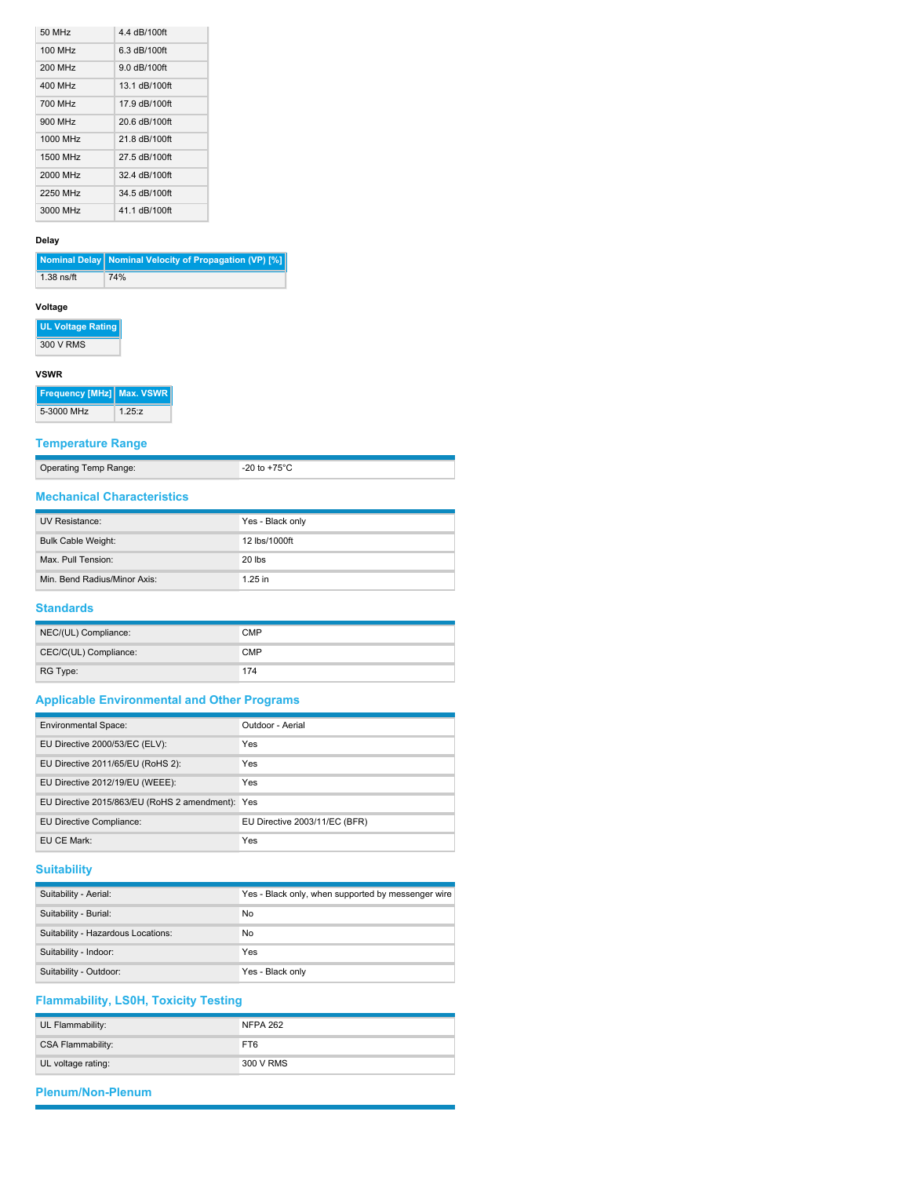| 50 MHz   | 4.4 dB/100ft  |
|----------|---------------|
| 100 MHz  | 6.3 dB/100ft  |
| 200 MHz  | 9.0 dB/100ft  |
| 400 MHz  | 13.1 dB/100ft |
| 700 MHz  | 17 9 dB/100ft |
| 900 MHz  | 20 6 dB/100ft |
| 1000 MHz | 21 8 dB/100ft |
| 1500 MHz | 27.5 dB/100ft |
| 2000 MHz | 32.4 dB/100ft |
| 2250 MHz | 34.5 dB/100ft |
| 3000 MHz | 41.1 dB/100ft |

## **Delay**

|            | Nominal Delay   Nominal Velocity of Propagation (VP) [%] |
|------------|----------------------------------------------------------|
| 1.38 ns/ft | 74%                                                      |

# **Voltage**

**UL Voltage Rating**

300 V RMS

## **VSWR**

**Frequency [MHz] Max. VSWR** 5-3000 MHz 1.25:z

# **Temperature Range**

Operating Temp Range: -20 to +75°C

| <b>Mechanical Characteristics</b> |
|-----------------------------------|

| UV Resistance:               | Yes - Black only |
|------------------------------|------------------|
| <b>Bulk Cable Weight:</b>    | 12 lbs/1000ft    |
| Max. Pull Tension:           | $20$ lbs         |
| Min. Bend Radius/Minor Axis: | $1.25$ in        |

## **Standards**

| NEC/(UL) Compliance:  | <b>CMP</b> |
|-----------------------|------------|
| CEC/C(UL) Compliance: | <b>CMP</b> |
| RG Type:              | 174        |

# **Applicable Environmental and Other Programs**

| <b>Environmental Space:</b>                      | Outdoor - Aerial              |
|--------------------------------------------------|-------------------------------|
| EU Directive 2000/53/EC (ELV):                   | Yes                           |
| EU Directive 2011/65/EU (RoHS 2):                | Yes                           |
| EU Directive 2012/19/EU (WEEE):                  | Yes                           |
| EU Directive 2015/863/EU (RoHS 2 amendment): Yes |                               |
| EU Directive Compliance:                         | EU Directive 2003/11/EC (BFR) |
| EU CE Mark:                                      | Yes                           |

# **Suitability**

| Suitability - Aerial:              | Yes - Black only, when supported by messenger wire |
|------------------------------------|----------------------------------------------------|
| Suitability - Burial:              | No                                                 |
| Suitability - Hazardous Locations: | No                                                 |
| Suitability - Indoor:              | Yes                                                |
| Suitability - Outdoor:             | Yes - Black only                                   |

# **Flammability, LS0H, Toxicity Testing**

| UL Flammability:         | <b>NFPA 262</b> |
|--------------------------|-----------------|
| <b>CSA Flammability:</b> | FT6             |
| UL voltage rating:       | 300 V RMS       |

# **Plenum/Non-Plenum**